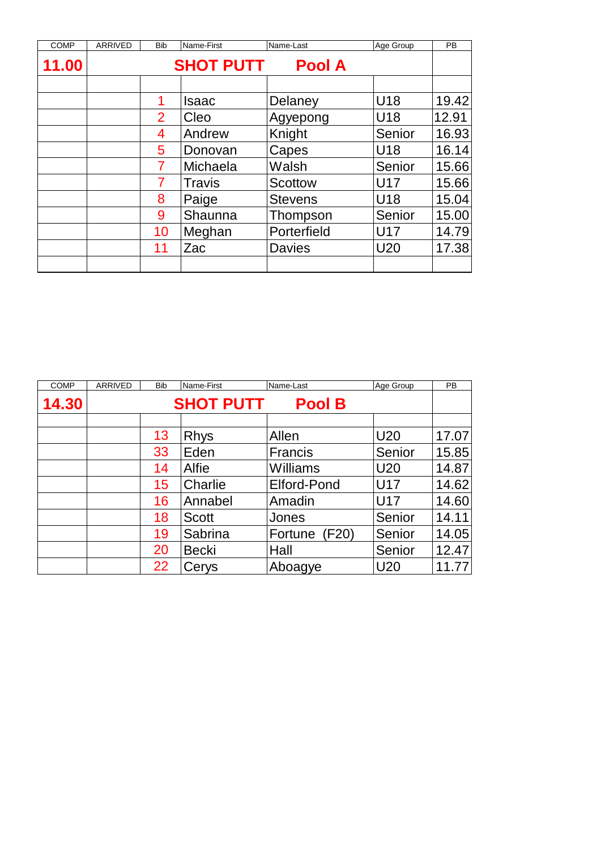| <b>COMP</b> | <b>ARRIVED</b> | <b>Bib</b>     | Name-First       | Name-Last      | Age Group  | <b>PB</b> |
|-------------|----------------|----------------|------------------|----------------|------------|-----------|
| 11.00       |                |                | <b>SHOT PUTT</b> | <b>Pool A</b>  |            |           |
|             |                |                |                  |                |            |           |
|             |                |                | Isaac            | Delaney        | U18        | 19.42     |
|             |                | $\overline{2}$ | Cleo             | Agyepong       | U18        | 12.91     |
|             |                | 4              | Andrew           | Knight         | Senior     | 16.93     |
|             |                | 5              | Donovan          | Capes          | U18        | 16.14     |
|             |                | 7              | Michaela         | Walsh          | Senior     | 15.66     |
|             |                |                | <b>Travis</b>    | <b>Scottow</b> | <b>U17</b> | 15.66     |
|             |                | 8              | Paige            | <b>Stevens</b> | U18        | 15.04     |
|             |                | 9              | Shaunna          | Thompson       | Senior     | 15.00     |
|             |                | 10             | Meghan           | Porterfield    | U17        | 14.79     |
|             |                | 11             | Zac              | <b>Davies</b>  | U20        | 17.38     |
|             |                |                |                  |                |            |           |

| <b>COMP</b> | ARRIVED | <b>Bib</b> | Name-First       | Name-Last          | Age Group       | <b>PB</b> |
|-------------|---------|------------|------------------|--------------------|-----------------|-----------|
| 14.30       |         |            | <b>SHOT PUTT</b> | <b>Pool B</b>      |                 |           |
|             |         |            |                  |                    |                 |           |
|             |         | 13         | <b>Rhys</b>      | Allen              | <b>U20</b>      | 17.07     |
|             |         | 33         | Eden             | Francis            | Senior          | 15.85     |
|             |         | 14         | Alfie            | Williams           | U <sub>20</sub> | 14.87     |
|             |         | 15         | Charlie          | <b>Elford-Pond</b> | U17             | 14.62     |
|             |         | 16         | Annabel          | Amadin             | <b>U17</b>      | 14.60     |
|             |         | 18         | <b>Scott</b>     | Jones              | Senior          | 14.11     |
|             |         | 19         | Sabrina          | Fortune (F20)      | Senior          | 14.05     |
|             |         | 20         | <b>Becki</b>     | Hall               | Senior          | 12.47     |
|             |         | 22         | Cerys            | Aboagye            | U <sub>20</sub> | 11.77     |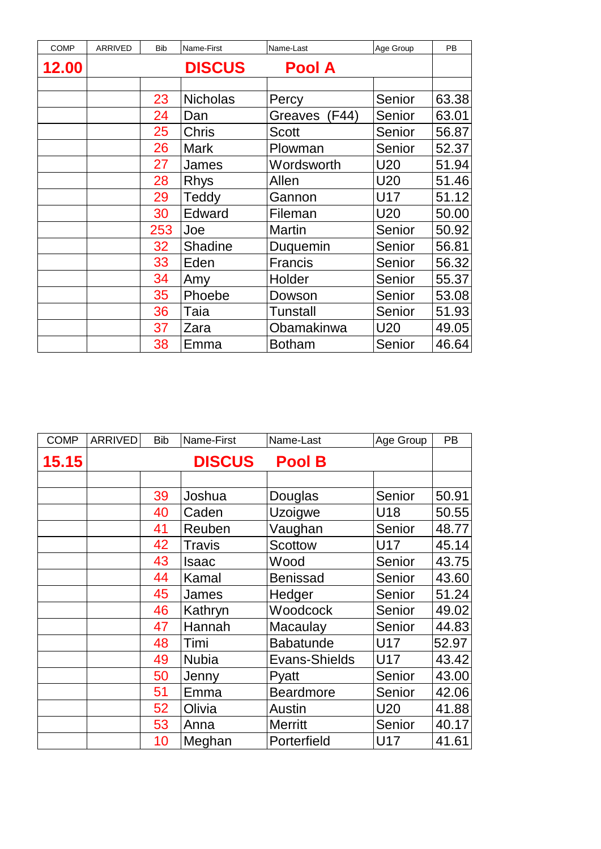| <b>COMP</b> | <b>ARRIVED</b> | <b>Bib</b> | Name-First      | Name-Last       | Age Group       | <b>PB</b> |
|-------------|----------------|------------|-----------------|-----------------|-----------------|-----------|
| 12.00       |                |            | <b>DISCUS</b>   | <b>Pool A</b>   |                 |           |
|             |                |            |                 |                 |                 |           |
|             |                | 23         | <b>Nicholas</b> | Percy           | Senior          | 63.38     |
|             |                | 24         | Dan             | Greaves (F44)   | Senior          | 63.01     |
|             |                | 25         | <b>Chris</b>    | <b>Scott</b>    | Senior          | 56.87     |
|             |                | 26         | <b>Mark</b>     | Plowman         | <b>Senior</b>   | 52.37     |
|             |                | 27         | James           | Wordsworth      | U20             | 51.94     |
|             |                | 28         | <b>Rhys</b>     | Allen           | U20             | 51.46     |
|             |                | 29         | Teddy           | Gannon          | U17             | 51.12     |
|             |                | 30         | Edward          | Fileman         | U <sub>20</sub> | 50.00     |
|             |                | 253        | Joe             | <b>Martin</b>   | Senior          | 50.92     |
|             |                | 32         | Shadine         | Duquemin        | Senior          | 56.81     |
|             |                | 33         | Eden            | <b>Francis</b>  | Senior          | 56.32     |
|             |                | 34         | Amy             | Holder          | Senior          | 55.37     |
|             |                | 35         | Phoebe          | Dowson          | Senior          | 53.08     |
|             |                | 36         | Taia            | <b>Tunstall</b> | Senior          | 51.93     |
|             |                | 37         | Zara            | Obamakinwa      | U20             | 49.05     |
|             |                | 38         | Emma            | <b>Botham</b>   | Senior          | 46.64     |

| <b>COMP</b> | ARRIVED | <b>Bib</b> | Name-First    | Name-Last        | Age Group | <b>PB</b> |
|-------------|---------|------------|---------------|------------------|-----------|-----------|
| 15.15       |         |            | <b>DISCUS</b> | <b>Pool B</b>    |           |           |
|             |         |            |               |                  |           |           |
|             |         | 39         | Joshua        | Douglas          | Senior    | 50.91     |
|             |         | 40         | Caden         | Uzoigwe          | U18       | 50.55     |
|             |         | 41         | Reuben        | Vaughan          | Senior    | 48.77     |
|             |         | 42         | <b>Travis</b> | <b>Scottow</b>   | U17       | 45.14     |
|             |         | 43         | <b>Isaac</b>  | Wood             | Senior    | 43.75     |
|             |         | 44         | Kamal         | <b>Benissad</b>  | Senior    | 43.60     |
|             |         | 45         | James         | Hedger           | Senior    | 51.24     |
|             |         | 46         | Kathryn       | Woodcock         | Senior    | 49.02     |
|             |         | 47         | Hannah        | Macaulay         | Senior    | 44.83     |
|             |         | 48         | Timi          | <b>Babatunde</b> | U17       | 52.97     |
|             |         | 49         | <b>Nubia</b>  | Evans-Shields    | U17       | 43.42     |
|             |         | 50         | Jenny         | Pyatt            | Senior    | 43.00     |
|             |         | 51         | Emma          | <b>Beardmore</b> | Senior    | 42.06     |
|             |         | 52         | Olivia        | <b>Austin</b>    | U20       | 41.88     |
|             |         | 53         | Anna          | <b>Merritt</b>   | Senior    | 40.17     |
|             |         | 10         | Meghan        | Porterfield      | U17       | 41.61     |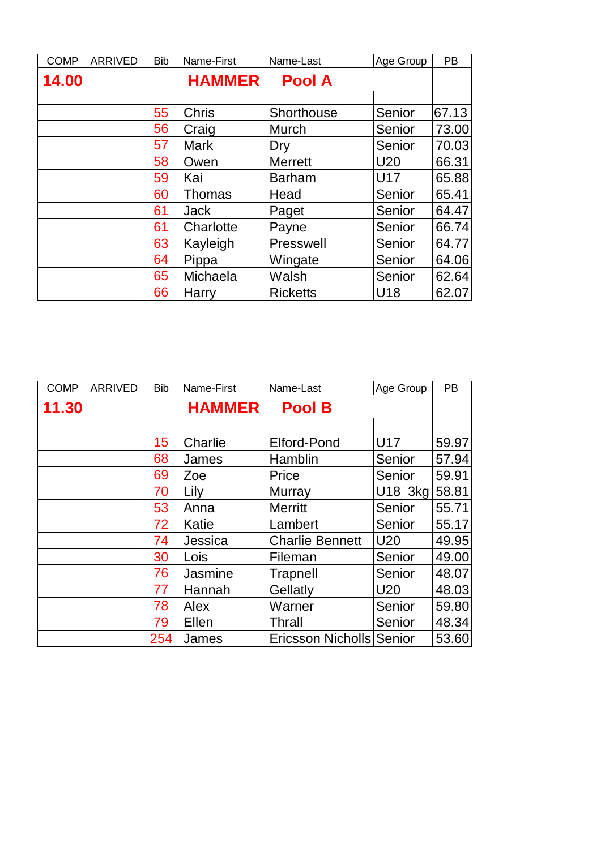| <b>COMP</b> | ARRIVED | <b>Bib</b> | Name-First    | Name-Last       | Age Group  | PB    |
|-------------|---------|------------|---------------|-----------------|------------|-------|
| 14.00       |         |            | <b>HAMMER</b> | <b>Pool A</b>   |            |       |
|             |         |            |               |                 |            |       |
|             |         | 55         | <b>Chris</b>  | Shorthouse      | Senior     | 67.13 |
|             |         | 56         | Craig         | Murch           | Senior     | 73.00 |
|             |         | 57         | <b>Mark</b>   | Dry             | Senior     | 70.03 |
|             |         | 58         | Owen          | <b>Merrett</b>  | <b>U20</b> | 66.31 |
|             |         | 59         | Kai           | <b>Barham</b>   | <b>U17</b> | 65.88 |
|             |         | 60         | <b>Thomas</b> | Head            | Senior     | 65.41 |
|             |         | 61         | <b>Jack</b>   | Paget           | Senior     | 64.47 |
|             |         | 61         | Charlotte     | Payne           | Senior     | 66.74 |
|             |         | 63         | Kayleigh      | Presswell       | Senior     | 64.77 |
|             |         | 64         | Pippa         | Wingate         | Senior     | 64.06 |
|             |         | 65         | Michaela      | Walsh           | Senior     | 62.64 |
|             |         | 66         | Harry         | <b>Ricketts</b> | U18        | 62.07 |

| <b>COMP</b> | ARRIVED | <b>Bib</b> | Name-First    | Name-Last                | Age Group       | <b>PB</b> |
|-------------|---------|------------|---------------|--------------------------|-----------------|-----------|
| 11.30       |         |            | <b>HAMMER</b> | <b>Pool B</b>            |                 |           |
|             |         |            |               |                          |                 |           |
|             |         | 15         | Charlie       | Elford-Pond              | U17             | 59.97     |
|             |         | 68         | James         | Hamblin                  | Senior          | 57.94     |
|             |         | 69         | Zoe           | Price                    | Senior          | 59.91     |
|             |         | 70         | Lily          | Murray                   | $U18$ 3kg       | 58.81     |
|             |         | 53         | Anna          | <b>Merritt</b>           | Senior          | 55.71     |
|             |         | 72         | Katie         | Lambert                  | Senior          | 55.17     |
|             |         | 74         | Jessica       | <b>Charlie Bennett</b>   | U20             | 49.95     |
|             |         | 30         | Lois          | Fileman                  | Senior          | 49.00     |
|             |         | 76         | Jasmine       | Trapnell                 | Senior          | 48.07     |
|             |         | 77         | Hannah        | Gellatly                 | U <sub>20</sub> | 48.03     |
|             |         | 78         | Alex          | Warner                   | Senior          | 59.80     |
|             |         | 79         | Ellen         | Thrall                   | Senior          | 48.34     |
|             |         | 254        | James         | Ericsson Nicholls Senior |                 | 53.60     |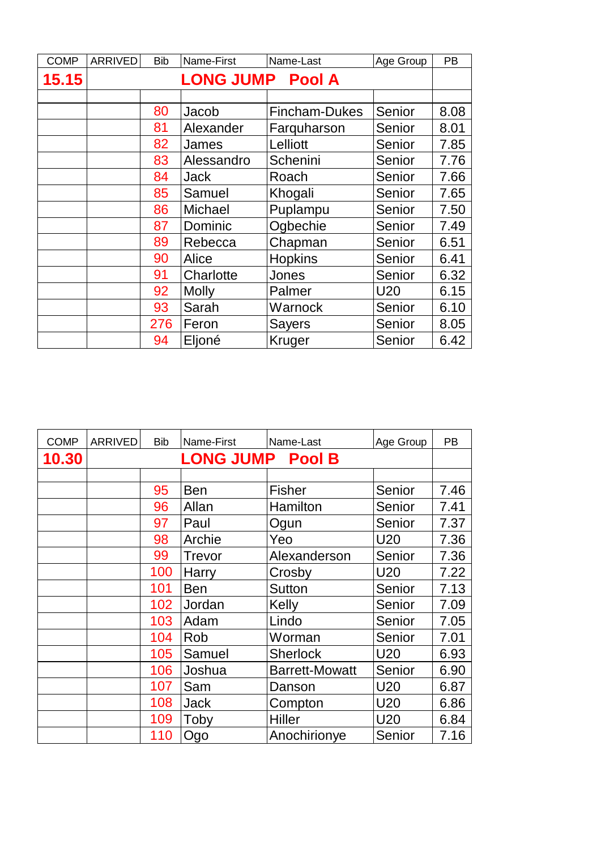| <b>COMP</b> | ARRIVED | <b>Bib</b> | Name-First              | Name-Last      | Age Group       | <b>PB</b> |
|-------------|---------|------------|-------------------------|----------------|-----------------|-----------|
| 15.15       |         |            | <b>LONG JUMP Pool A</b> |                |                 |           |
|             |         |            |                         |                |                 |           |
|             |         | 80         | Jacob                   | Fincham-Dukes  | Senior          | 8.08      |
|             |         | 81         | Alexander               | Farquharson    | Senior          | 8.01      |
|             |         | 82         | James                   | Lelliott       | Senior          | 7.85      |
|             |         | 83         | Alessandro              | Schenini       | Senior          | 7.76      |
|             |         | 84         | Jack                    | Roach          | Senior          | 7.66      |
|             |         | 85         | Samuel                  | Khogali        | Senior          | 7.65      |
|             |         | 86         | Michael                 | Puplampu       | Senior          | 7.50      |
|             |         | 87         | Dominic                 | Ogbechie       | Senior          | 7.49      |
|             |         | 89         | Rebecca                 | Chapman        | Senior          | 6.51      |
|             |         | 90         | Alice                   | <b>Hopkins</b> | Senior          | 6.41      |
|             |         | 91         | Charlotte               | Jones          | Senior          | 6.32      |
|             |         | 92         | <b>Molly</b>            | Palmer         | U <sub>20</sub> | 6.15      |
|             |         | 93         | Sarah                   | Warnock        | Senior          | 6.10      |
|             |         | 276        | Feron                   | <b>Sayers</b>  | Senior          | 8.05      |
|             |         | 94         | Eljoné                  | Kruger         | Senior          | 6.42      |

| <b>COMP</b> | <b>ARRIVED</b> | <b>Bib</b> | Name-First              | Name-Last             | Age Group       | <b>PB</b> |
|-------------|----------------|------------|-------------------------|-----------------------|-----------------|-----------|
| 10.30       |                |            | <b>LONG JUMP Pool B</b> |                       |                 |           |
|             |                |            |                         |                       |                 |           |
|             |                | 95         | <b>Ben</b>              | <b>Fisher</b>         | Senior          | 7.46      |
|             |                | 96         | Allan                   | Hamilton              | Senior          | 7.41      |
|             |                | 97         | Paul                    | Ogun                  | Senior          | 7.37      |
|             |                | 98         | Archie                  | Yeo                   | U20             | 7.36      |
|             |                | 99         | <b>Trevor</b>           | Alexanderson          | Senior          | 7.36      |
|             |                | 100        | Harry                   | Crosby                | U20             | 7.22      |
|             |                | 101        | <b>Ben</b>              | <b>Sutton</b>         | Senior          | 7.13      |
|             |                | 102        | Jordan                  | Kelly                 | Senior          | 7.09      |
|             |                | 103        | Adam                    | Lindo                 | Senior          | 7.05      |
|             |                | 104        | Rob                     | Worman                | Senior          | 7.01      |
|             |                | 105        | Samuel                  | <b>Sherlock</b>       | U20             | 6.93      |
|             |                | 106        | Joshua                  | <b>Barrett-Mowatt</b> | Senior          | 6.90      |
|             |                | 107        | Sam                     | Danson                | U20             | 6.87      |
|             |                | 108        | Jack                    | Compton               | U20             | 6.86      |
|             |                | 109        | Toby                    | Hiller                | U <sub>20</sub> | 6.84      |
|             |                | 110        | Ogo                     | Anochirionye          | Senior          | 7.16      |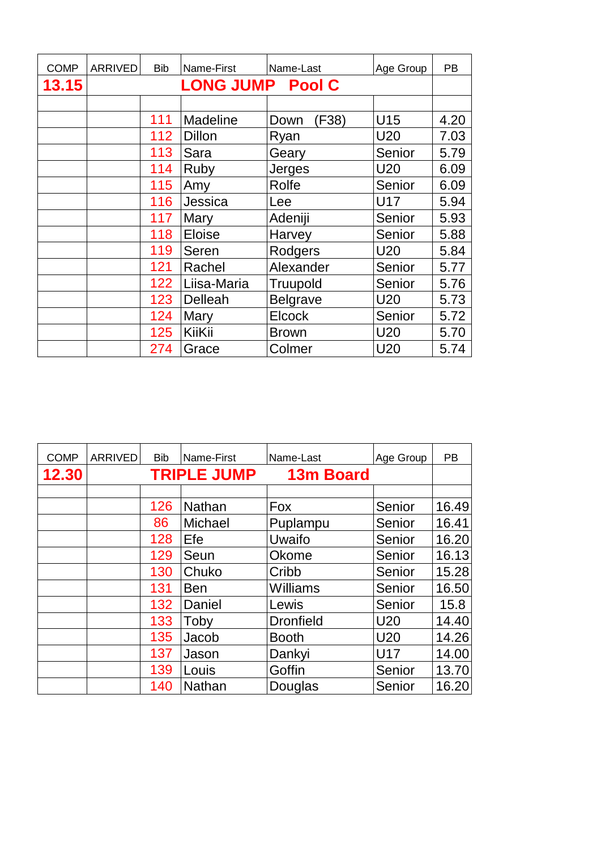| <b>COMP</b> | ARRIVED | <b>Bib</b> | Name-First              | Name-Last       | Age Group       | <b>PB</b> |
|-------------|---------|------------|-------------------------|-----------------|-----------------|-----------|
| 13.15       |         |            | <b>LONG JUMP Pool C</b> |                 |                 |           |
|             |         |            |                         |                 |                 |           |
|             |         | 111        | <b>Madeline</b>         | (F38)<br>Down   | U15             | 4.20      |
|             |         | 112        | <b>Dillon</b>           | Ryan            | U <sub>20</sub> | 7.03      |
|             |         | 113        | Sara                    | Geary           | Senior          | 5.79      |
|             |         | 114        | Ruby                    | Jerges          | U <sub>20</sub> | 6.09      |
|             |         | 115        | Amy                     | Rolfe           | Senior          | 6.09      |
|             |         | 116        | Jessica                 | Lee             | U17             | 5.94      |
|             |         | 117        | Mary                    | Adeniji         | Senior          | 5.93      |
|             |         | 118        | <b>Eloise</b>           | Harvey          | Senior          | 5.88      |
|             |         | 119        | Seren                   | Rodgers         | U20             | 5.84      |
|             |         | 121        | Rachel                  | Alexander       | Senior          | 5.77      |
|             |         | 122        | Liisa-Maria             | Truupold        | Senior          | 5.76      |
|             |         | 123        | Delleah                 | <b>Belgrave</b> | <b>U20</b>      | 5.73      |
|             |         | 124        | Mary                    | <b>Elcock</b>   | Senior          | 5.72      |
|             |         | 125        | KiiKii                  | <b>Brown</b>    | U <sub>20</sub> | 5.70      |
|             |         | 274        | Grace                   | Colmer          | U <sub>20</sub> | 5.74      |

| <b>COMP</b> | <b>ARRIVED</b> | <b>Bib</b> | Name-First         | Name-Last        | Age Group  | <b>PB</b> |
|-------------|----------------|------------|--------------------|------------------|------------|-----------|
| 12.30       |                |            | <b>TRIPLE JUMP</b> | <b>13m Board</b> |            |           |
|             |                |            |                    |                  |            |           |
|             |                | 126        | Nathan             | Fox              | Senior     | 16.49     |
|             |                | 86         | Michael            | Puplampu         | Senior     | 16.41     |
|             |                | 128        | Efe                | Uwaifo           | Senior     | 16.20     |
|             |                | 129        | Seun               | Okome            | Senior     | 16.13     |
|             |                | 130        | Chuko              | Cribb            | Senior     | 15.28     |
|             |                | 131        | <b>Ben</b>         | <b>Williams</b>  | Senior     | 16.50     |
|             |                | 132        | Daniel             | Lewis            | Senior     | 15.8      |
|             |                | 133        | Toby               | <b>Dronfield</b> | <b>U20</b> | 14.40     |
|             |                | 135        | Jacob              | <b>Booth</b>     | <b>U20</b> | 14.26     |
|             |                | 137        | Jason              | Dankyi           | U17        | 14.00     |
|             |                | 139        | Louis              | Goffin           | Senior     | 13.70     |
|             |                | 140        | <b>Nathan</b>      | Douglas          | Senior     | 16.20     |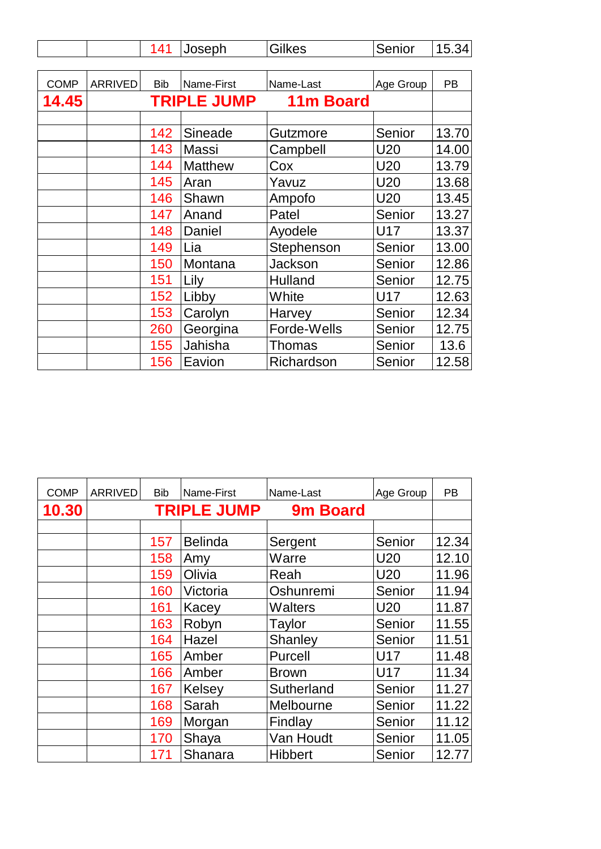|             |         | 141        | Joseph             | <b>Gilkes</b> | Senior     | 15.34     |
|-------------|---------|------------|--------------------|---------------|------------|-----------|
|             |         |            |                    |               |            |           |
| <b>COMP</b> | ARRIVED | <b>Bib</b> | Name-First         | Name-Last     | Age Group  | <b>PB</b> |
| 14.45       |         |            | <b>TRIPLE JUMP</b> | 11m Board     |            |           |
|             |         |            |                    |               |            |           |
|             |         | 142        | Sineade            | Gutzmore      | Senior     | 13.70     |
|             |         | 143        | <b>Massi</b>       | Campbell      | U20        | 14.00     |
|             |         | 144        | <b>Matthew</b>     | Cox           | U20        | 13.79     |
|             |         | 145        | Aran               | Yavuz         | <b>U20</b> | 13.68     |
|             |         | 146        | Shawn              | Ampofo        | <b>U20</b> | 13.45     |
|             |         | 147        | Anand              | Patel         | Senior     | 13.27     |
|             |         | 148        | Daniel             | Ayodele       | U17        | 13.37     |
|             |         | 149        | Lia                | Stephenson    | Senior     | 13.00     |
|             |         | 150        | Montana            | Jackson       | Senior     | 12.86     |
|             |         | 151        | Lily               | Hulland       | Senior     | 12.75     |
|             |         | 152        | Libby              | White         | U17        | 12.63     |
|             |         | 153        | Carolyn            | Harvey        | Senior     | 12.34     |
|             |         | 260        | Georgina           | Forde-Wells   | Senior     | 12.75     |
|             |         | 155        | Jahisha            | <b>Thomas</b> | Senior     | 13.6      |
|             |         | 156        | Eavion             | Richardson    | Senior     | 12.58     |

| <b>COMP</b> | <b>ARRIVED</b> | <b>Bib</b> | Name-First         | Name-Last      | Age Group       | PB    |
|-------------|----------------|------------|--------------------|----------------|-----------------|-------|
| 10.30       |                |            | <b>TRIPLE JUMP</b> | 9m Board       |                 |       |
|             |                |            |                    |                |                 |       |
|             |                | 157        | <b>Belinda</b>     | Sergent        | Senior          | 12.34 |
|             |                | 158        | Amy                | Warre          | <b>U20</b>      | 12.10 |
|             |                | 159        | Olivia             | Reah           | <b>U20</b>      | 11.96 |
|             |                | 160        | Victoria           | Oshunremi      | Senior          | 11.94 |
|             |                | 161        | Kacey              | <b>Walters</b> | U <sub>20</sub> | 11.87 |
|             |                | 163        | Robyn              | Taylor         | Senior          | 11.55 |
|             |                | 164        | Hazel              | Shanley        | Senior          | 11.51 |
|             |                | 165        | Amber              | Purcell        | <b>U17</b>      | 11.48 |
|             |                | 166        | Amber              | <b>Brown</b>   | <b>U17</b>      | 11.34 |
|             |                | 167        | Kelsey             | Sutherland     | Senior          | 11.27 |
|             |                | 168        | Sarah              | Melbourne      | Senior          | 11.22 |
|             |                | 169        | Morgan             | Findlay        | Senior          | 11.12 |
|             |                | 170        | Shaya              | Van Houdt      | Senior          | 11.05 |
|             |                | 171        | Shanara            | <b>Hibbert</b> | Senior          | 12.77 |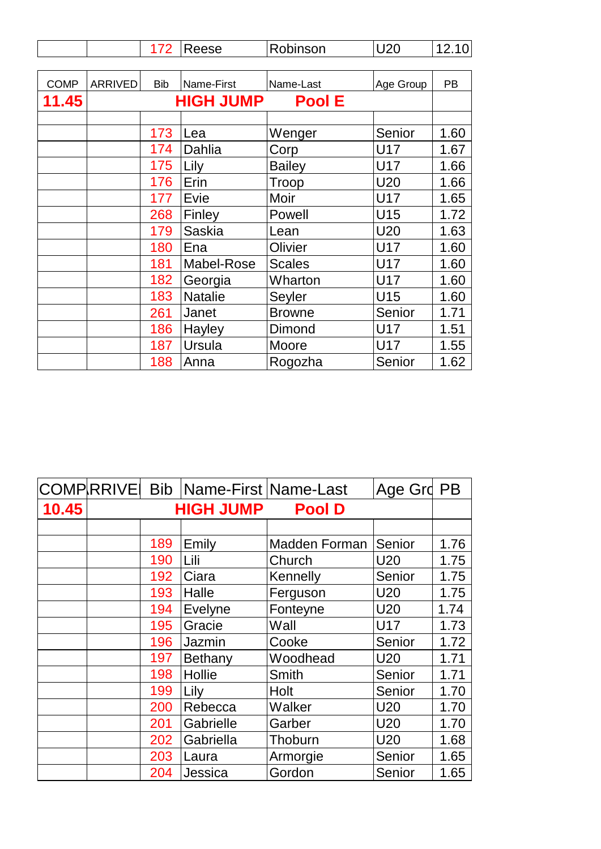|             |                                   | 172        | Reese          | Robinson      | <b>U20</b> | 12.10     |  |
|-------------|-----------------------------------|------------|----------------|---------------|------------|-----------|--|
|             |                                   |            |                |               |            |           |  |
| <b>COMP</b> | ARRIVED                           | <b>Bib</b> | Name-First     | Name-Last     | Age Group  | <b>PB</b> |  |
| 11.45       | <b>HIGH JUMP</b><br><b>Pool E</b> |            |                |               |            |           |  |
|             |                                   |            |                |               |            |           |  |
|             |                                   | 173        | Lea            | Wenger        | Senior     | 1.60      |  |
|             |                                   | 174        | Dahlia         | Corp          | U17        | 1.67      |  |
|             |                                   | 175        | Lily           | <b>Bailey</b> | U17        | 1.66      |  |
|             |                                   | 176        | Erin           | Troop         | U20        | 1.66      |  |
|             |                                   | 177        | Evie           | Moir          | U17        | 1.65      |  |
|             |                                   | 268        | Finley         | Powell        | U15        | 1.72      |  |
|             |                                   | 179        | <b>Saskia</b>  | Lean          | <b>U20</b> | 1.63      |  |
|             |                                   | 180        | Ena            | Olivier       | U17        | 1.60      |  |
|             |                                   | 181        | Mabel-Rose     | <b>Scales</b> | U17        | 1.60      |  |
|             |                                   | 182        | Georgia        | Wharton       | U17        | 1.60      |  |
|             |                                   | 183        | <b>Natalie</b> | Seyler        | U15        | 1.60      |  |
|             |                                   | 261        | Janet          | <b>Browne</b> | Senior     | 1.71      |  |
|             |                                   | 186        | Hayley         | Dimond        | U17        | 1.51      |  |
|             |                                   | 187        | Ursula         | Moore         | U17        | 1.55      |  |
|             |                                   | 188        | Anna           | Rogozha       | Senior     | 1.62      |  |

|       |     | COMPRRIVE Bib Name-First Name-Last |               | Age Grd PB      |      |
|-------|-----|------------------------------------|---------------|-----------------|------|
| 10.45 |     | <b>HIGH JUMP</b>                   | <b>Pool D</b> |                 |      |
|       |     |                                    |               |                 |      |
|       | 189 | Emily                              | Madden Forman | Senior          | 1.76 |
|       | 190 | Lili                               | Church        | U20             | 1.75 |
|       | 192 | Ciara                              | Kennelly      | Senior          | 1.75 |
|       | 193 | Halle                              | Ferguson      | U20             | 1.75 |
|       | 194 | Evelyne                            | Fonteyne      | U20             | 1.74 |
|       | 195 | Gracie                             | Wall          | <b>U17</b>      | 1.73 |
|       | 196 | Jazmin                             | Cooke         | Senior          | 1.72 |
|       | 197 | Bethany                            | Woodhead      | U <sub>20</sub> | 1.71 |
|       | 198 | Hollie                             | Smith         | Senior          | 1.71 |
|       | 199 | Lily                               | Holt          | Senior          | 1.70 |
|       | 200 | Rebecca                            | Walker        | U <sub>20</sub> | 1.70 |
|       | 201 | Gabrielle                          | Garber        | U <sub>20</sub> | 1.70 |
|       | 202 | Gabriella                          | Thoburn       | U <sub>20</sub> | 1.68 |
|       | 203 | Laura                              | Armorgie      | Senior          | 1.65 |
|       | 204 | Jessica                            | Gordon        | Senior          | 1.65 |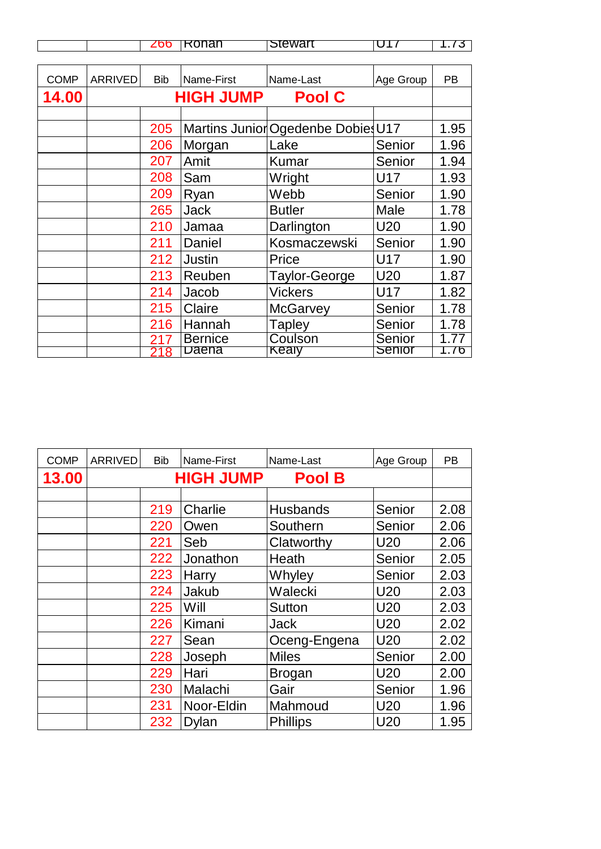|             |         | 266        | Rohan            | Stewart                            | U17        | 1.73      |
|-------------|---------|------------|------------------|------------------------------------|------------|-----------|
|             |         |            |                  |                                    |            |           |
| <b>COMP</b> | ARRIVED | <b>Bib</b> | Name-First       | Name-Last                          | Age Group  | <b>PB</b> |
| 14.00       |         |            | <b>HIGH JUMP</b> | <b>Pool C</b>                      |            |           |
|             |         |            |                  |                                    |            |           |
|             |         | 205        |                  | Martins Junior Ogedenbe Dobies U17 |            | 1.95      |
|             |         | 206        | Morgan           | Lake                               | Senior     | 1.96      |
|             |         | 207        | Amit             | <b>Kumar</b>                       | Senior     | 1.94      |
|             |         | 208        | Sam              | Wright                             | <b>U17</b> | 1.93      |
|             |         | 209        | Ryan             | Webb                               | Senior     | 1.90      |
|             |         | 265        | <b>Jack</b>      | <b>Butler</b>                      | Male       | 1.78      |
|             |         | 210        | Jamaa            | Darlington                         | <b>U20</b> | 1.90      |
|             |         | 211        | Daniel           | Kosmaczewski                       | Senior     | 1.90      |
|             |         | 212        | <b>Justin</b>    | Price                              | U17        | 1.90      |
|             |         | 213        | Reuben           | <b>Taylor-George</b>               | U20        | 1.87      |
|             |         | 214        | Jacob            | <b>Vickers</b>                     | U17        | 1.82      |
|             |         | 215        | Claire           | <b>McGarvey</b>                    | Senior     | 1.78      |
|             |         | 216        | Hannah           | <b>Tapley</b>                      | Senior     | 1.78      |
|             |         | 217        | <b>Bernice</b>   | Coulson                            | Senior     | 1.77      |
|             |         | 218        | Daena            | Kealy                              | Senior     | 1.76      |

| <b>COMP</b> | ARRIVED | <b>Bib</b> | Name-First       | Name-Last       | Age Group       | <b>PB</b> |
|-------------|---------|------------|------------------|-----------------|-----------------|-----------|
| 13.00       |         |            | <b>HIGH JUMP</b> | <b>Pool B</b>   |                 |           |
|             |         |            |                  |                 |                 |           |
|             |         | 219        | Charlie          | Husbands        | Senior          | 2.08      |
|             |         | 220        | Owen             | Southern        | Senior          | 2.06      |
|             |         | 221        | Seb              | Clatworthy      | U <sub>20</sub> | 2.06      |
|             |         | 222        | Jonathon         | Heath           | Senior          | 2.05      |
|             |         | 223        | Harry            | Whyley          | Senior          | 2.03      |
|             |         | 224        | Jakub            | Walecki         | U <sub>20</sub> | 2.03      |
|             |         | 225        | Will             | <b>Sutton</b>   | U <sub>20</sub> | 2.03      |
|             |         | 226        | Kimani           | <b>Jack</b>     | U <sub>20</sub> | 2.02      |
|             |         | 227        | Sean             | Oceng-Engena    | U20             | 2.02      |
|             |         | 228        | Joseph           | <b>Miles</b>    | Senior          | 2.00      |
|             |         | 229        | Hari             | <b>Brogan</b>   | U <sub>20</sub> | 2.00      |
|             |         | 230        | Malachi          | Gair            | Senior          | 1.96      |
|             |         | 231        | Noor-Eldin       | Mahmoud         | U <sub>20</sub> | 1.96      |
|             |         | 232        | <b>Dylan</b>     | <b>Phillips</b> | U <sub>20</sub> | 1.95      |